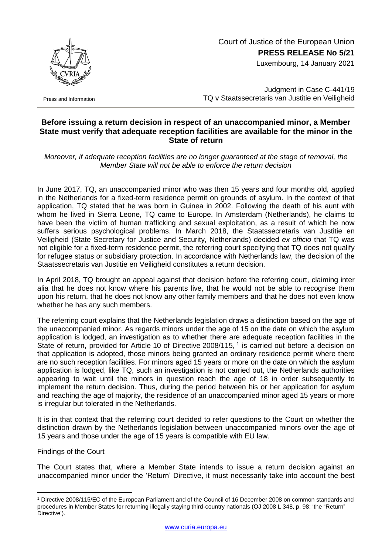Court of Justice of the European Union **PRESS RELEASE No 5/21**

Luxembourg, 14 January 2021



Press and Information

Judgment in Case C-441/19 TQ v Staatssecretaris van Justitie en Veiligheid

## **Before issuing a return decision in respect of an unaccompanied minor, a Member State must verify that adequate reception facilities are available for the minor in the State of return**

*Moreover, if adequate reception facilities are no longer guaranteed at the stage of removal, the Member State will not be able to enforce the return decision*

In June 2017, TQ, an unaccompanied minor who was then 15 years and four months old, applied in the Netherlands for a fixed-term residence permit on grounds of asylum. In the context of that application, TQ stated that he was born in Guinea in 2002. Following the death of his aunt with whom he lived in Sierra Leone, TQ came to Europe. In Amsterdam (Netherlands), he claims to have been the victim of human trafficking and sexual exploitation, as a result of which he now suffers serious psychological problems. In March 2018, the Staatssecretaris van Justitie en Veiligheid (State Secretary for Justice and Security, Netherlands) decided *ex officio* that TQ was not eligible for a fixed-term residence permit, the referring court specifying that TQ does not qualify for refugee status or subsidiary protection. In accordance with Netherlands law, the decision of the Staatssecretaris van Justitie en Veiligheid constitutes a return decision.

In April 2018, TQ brought an appeal against that decision before the referring court, claiming inter alia that he does not know where his parents live, that he would not be able to recognise them upon his return, that he does not know any other family members and that he does not even know whether he has any such members.

The referring court explains that the Netherlands legislation draws a distinction based on the age of the unaccompanied minor. As regards minors under the age of 15 on the date on which the asylum application is lodged, an investigation as to whether there are adequate reception facilities in the State of return, provided for Article 10 of Directive 2008/115, <sup>1</sup> is carried out before a decision on that application is adopted, those minors being granted an ordinary residence permit where there are no such reception facilities. For minors aged 15 years or more on the date on which the asylum application is lodged, like TQ, such an investigation is not carried out, the Netherlands authorities appearing to wait until the minors in question reach the age of 18 in order subsequently to implement the return decision. Thus, during the period between his or her application for asylum and reaching the age of majority, the residence of an unaccompanied minor aged 15 years or more is irregular but tolerated in the Netherlands.

It is in that context that the referring court decided to refer questions to the Court on whether the distinction drawn by the Netherlands legislation between unaccompanied minors over the age of 15 years and those under the age of 15 years is compatible with EU law.

Findings of the Court

The Court states that, where a Member State intends to issue a return decision against an unaccompanied minor under the 'Return' Directive, it must necessarily take into account the best

<sup>1</sup> <sup>1</sup> Directive 2008/115/EC of the European Parliament and of the Council of 16 December 2008 on common standards and procedures in Member States for returning illegally staying third-country nationals (OJ 2008 L 348, p. 98; 'the "Return" Directive').